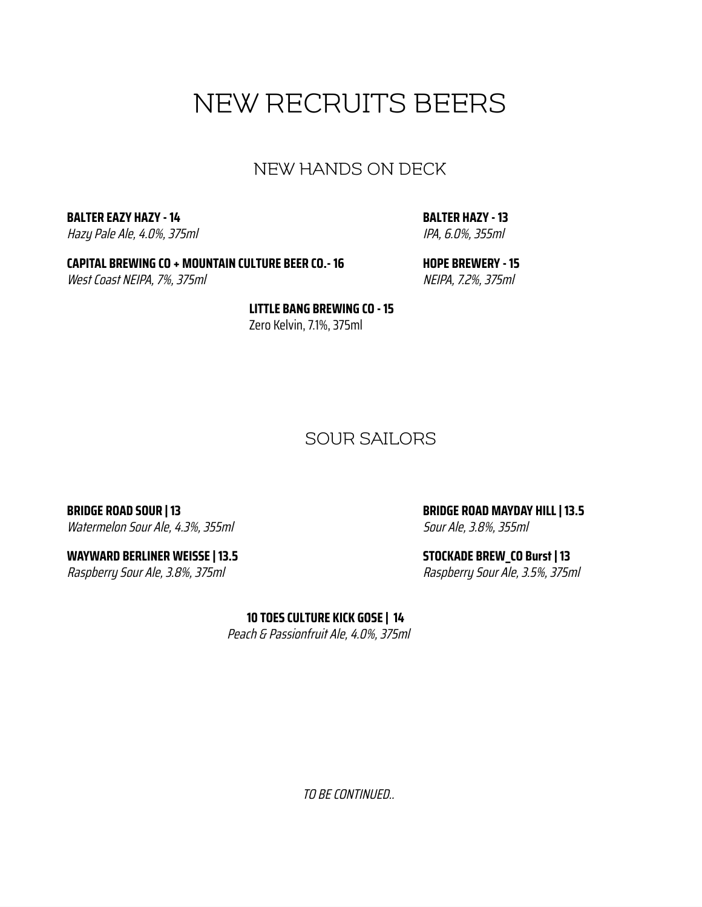## NEW RECRUITS BEERS

#### NEW HANDS ON DECK

**BALTER EAZY HAZY - 14** Hazy Pale Ale, 4.0%, 375ml **BALTER HAZY - 13** IPA, 6.0%, 355ml

**CAPITAL BREWING CO + MOUNTAIN CULTURE BEER CO.- 16** West Coast NEIPA, 7%, 375ml

**HOPE BREWERY - 15** NEIPA, 7.2%, 375ml

**LITTLE BANG BREWING CO - 15** Zero Kelvin, 7.1%, 375ml

#### SOUR SAILORS

**BRIDGE ROAD SOUR | 13** Watermelon Sour Ale, 4.3%, 355ml

**WAYWARD BERLINER WEISSE | 13.5** Raspberry Sour Ale, 3.8%, 375ml

**BRIDGE ROAD MAYDAY HILL| 13.5** Sour Ale, 3.8%, 355ml

**STOCKADE BREW\_CO Burst | 13** Raspberry Sour Ale, 3.5%, 375ml

**10 TOES CULTURE KICK GOSE | 14**

Peach & Passionfruit Ale, 4.0%, 375ml

TO BE CONTINUED..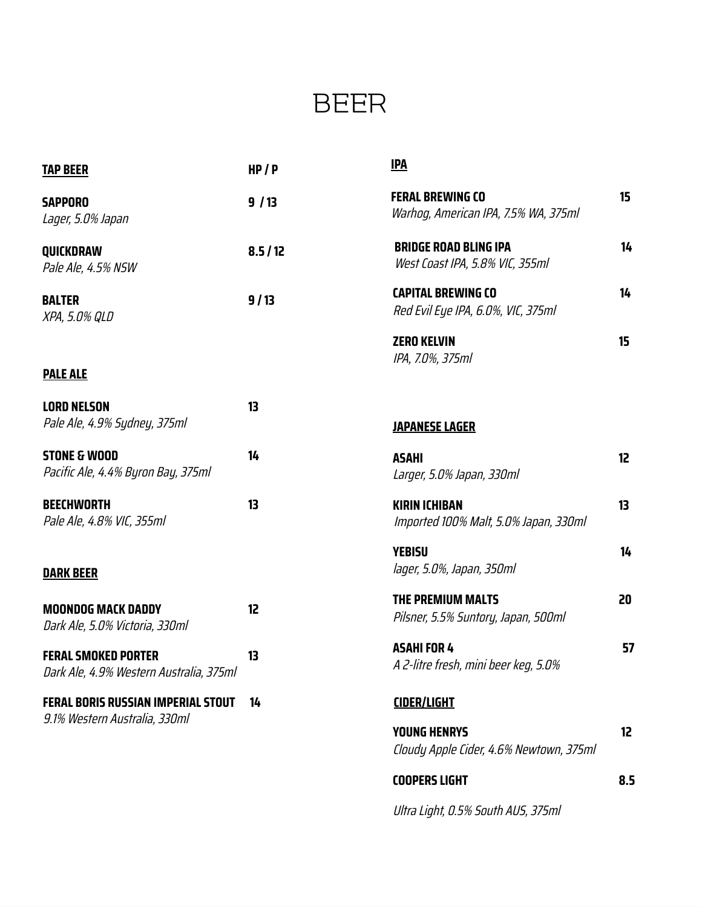## BEER

| <b>TAP BEER</b>                                                            | HP/P   | <b>IPA</b>                                                      |                 |
|----------------------------------------------------------------------------|--------|-----------------------------------------------------------------|-----------------|
| <b>SAPPORO</b><br>Lager, 5.0% Japan                                        | 9/13   | <b>FERAL BREWING CO</b><br>Warhog, American IPA, 7.5% WA, 375ml | 15              |
| QUICKDRAW<br>Pale Ale, 4.5% NSW                                            | 8.5/12 | <b>BRIDGE ROAD BLING IPA</b><br>West Coast IPA, 5.8% VIC, 355ml | 14              |
| <b>BALTER</b><br>XPA, 5.0% QLD                                             | 9/13   | <b>CAPITAL BREWING CO</b><br>Red Evil Eye IPA, 6.0%, VIC, 375ml | 14              |
| <b>PALE ALE</b>                                                            |        | <b>ZERO KELVIN</b><br>IPA, 7.0%, 375ml                          | 15              |
| <b>LORD NELSON</b><br>Pale Ale, 4.9% Sydney, 375ml                         | 13     | <b>JAPANESE LAGER</b>                                           |                 |
| <b>STONE &amp; WOOD</b><br>Pacific Ale, 4.4% Byron Bay, 375ml              | 14     | <b>ASAHI</b><br>Larger, 5.0% Japan, 330ml                       | 12 <sup>2</sup> |
| <b>BEECHWORTH</b><br>Pale Ale, 4.8% VIC, 355ml                             | 13     | <b>KIRIN ICHIBAN</b><br>Imported 100% Malt, 5.0% Japan, 330ml   | 13              |
| <b>DARK BEER</b>                                                           |        | <b>YEBISU</b><br>lager, 5.0%, Japan, 350ml                      | 14              |
| <b>MOONDOG MACK DADDY</b><br>Dark Ale, 5.0% Victoria, 330ml                | 12     | <b>THE PREMIUM MALTS</b><br>Pilsner, 5.5% Suntory, Japan, 500ml | 20              |
| <b>FERAL SMOKED PORTER</b><br>Dark Ale, 4.9% Western Australia, 375ml      | 13     | <b>ASAHIFOR 4</b><br>A 2-litre fresh, mini beer keg, 5.0%       | 57              |
| <b>FERAL BORIS RUSSIAN IMPERIAL STOUT</b><br>9.1% Western Australia, 330ml | 14     | <b>CIDER/LIGHT</b>                                              |                 |
|                                                                            |        | <b>YOUNG HENRYS</b><br>Cloudy Apple Cider, 4.6% Newtown, 375ml  | 12              |
|                                                                            |        | <b>COOPERS LIGHT</b>                                            | 8.5             |

Ultra Light, 0.5% South AUS, 375ml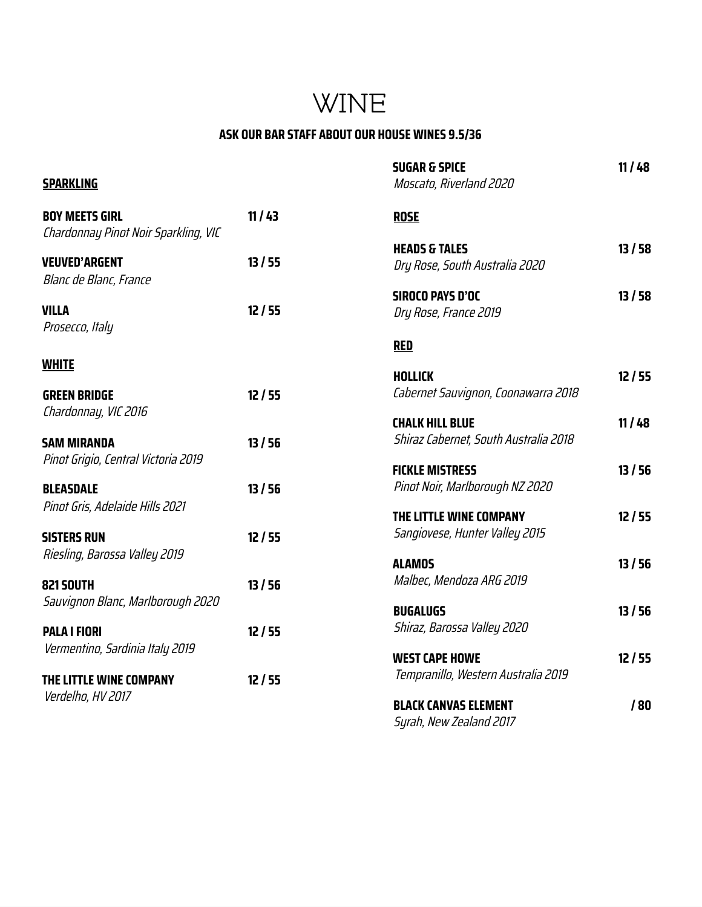## WINE

#### **ASK OUR BAR STAFF ABOUT OUR HOUSE WINES 9.5/36**

|                                                               |       | <b>SUGAR &amp; SPICE</b>                                                | 11/48 |
|---------------------------------------------------------------|-------|-------------------------------------------------------------------------|-------|
| <b>SPARKLING</b>                                              |       | Moscato, Riverland 2020                                                 |       |
| <b>BOY MEETS GIRL</b><br>Chardonnay Pinot Noir Sparkling, VIC | 11/43 | <b>ROSE</b>                                                             |       |
|                                                               |       | <b>HEADS &amp; TALES</b>                                                | 13/58 |
| <b>VEUVED'ARGENT</b><br>Blanc de Blanc, France                | 13/55 | Dry Rose, South Australia 2020                                          |       |
|                                                               |       | <b>SIROCO PAYS D'OC</b>                                                 | 13/58 |
| <b>VILLA</b><br>Prosecco, Italy                               | 12/55 | Dry Rose, France 2019                                                   |       |
|                                                               |       | <b>RED</b>                                                              |       |
| <b>WHITE</b>                                                  |       |                                                                         |       |
|                                                               |       | <b>HOLLICK</b>                                                          | 12/55 |
| <b>GREEN BRIDGE</b>                                           | 12/55 | Cabernet Sauvignon, Coonawarra 2018                                     |       |
| Chardonnay, VIC 2016                                          |       | <b>CHALK HILL BLUE</b>                                                  | 11/48 |
| <b>SAM MIRANDA</b><br>Pinot Grigio, Central Victoria 2019     | 13/56 | Shiraz Cabernet, South Australia 2018                                   |       |
|                                                               |       | <b>FICKLE MISTRESS</b>                                                  | 13/56 |
| <b>BLEASDALE</b><br>Pinot Gris, Adelaide Hills 2021           | 13/56 | Pinot Noir, Marlborough NZ 2020                                         |       |
|                                                               |       | THE LITTLE WINE COMPANY                                                 | 12/55 |
| <b>SISTERS RUN</b><br>Riesling, Barossa Valley 2019           | 12/55 | Sangiovese, Hunter Valley 2015                                          |       |
|                                                               |       | <b>ALAMOS</b>                                                           | 13/56 |
| <b>821 SOUTH</b><br>Sauvignon Blanc, Marlborough 2020         | 13/56 | Malbec, Mendoza ARG 2019                                                |       |
|                                                               |       | <b>BUGALUGS</b>                                                         | 13/56 |
| <b>PALA I FIORI</b><br>Vermentino, Sardinia Italy 2019        | 12/55 | Shiraz, Barossa Valley 2020                                             |       |
|                                                               |       | <b>WEST CAPE HOWE</b>                                                   | 12/55 |
| THE LITTLE WINE COMPANY<br>Verdelho, HV 2017                  | 12/55 | Tempranillo, Western Australia 2019                                     |       |
|                                                               |       | <b>BLACK CANVAS ELEMENT</b>                                             | /80   |
|                                                               |       | $C_{2}$ $L_{1}$ $M_{2}$ $L_{2}$ $R_{2}$ $L_{3}$ $L_{4}$ $R_{1}$ $T_{2}$ |       |

Syrah, New Zealand 2017